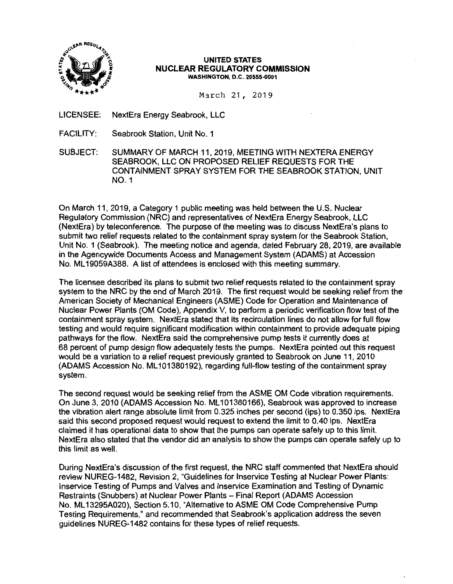

#### \ **UNITED STATES**  ~ ] **NUCLEAR REGULATORY COMMISSION WASHINGTON, D.C. 20555-0001**

March 21, 2019

LICENSEE: NextEra Energy Seabrook, LLC

FACILITY: Seabrook Station, Unit No. 1

SUBJECT: SUMMARY OF MARCH 11, 2019, MEETING WITH NEXTERA ENERGY SEABROOK, LLC ON PROPOSED RELIEF REQUESTS FOR THE CONTAINMENT SPRAY SYSTEM FOR THE SEABROOK STATION, UNIT N0.1

On March 11, 2019, a Category 1 public meeting was held between the U.S. Nuclear Regulatory Commission (NRC) and representatives of NextEra Energy Seabrook, LLC (NextEra) by teleconference. The purpose of the meeting was to discuss NextEra's plans to submit two relief requests related to the containment spray system for the Seabrook Station, Unit No. 1 (Seabrook). The meeting notice and agenda, dated February 28, 2019, are available in the Agencywide Documents Access and Management System (ADAMS) at Accession No. ML 19059A388. A list of attendees is enclosed with this meeting summary.

The licensee described its plans to submit two relief requests related to the containment spray system to the NRC by the end of March 2019. The first request would be seeking relief from the American Society of Mechanical Engineers (ASME) Code for Operation and Maintenance of Nuclear Power Plants (OM Code), Appendix V, to perform a periodic verification flow test of the containment spray system. NextEra stated that its recirculation lines do not allow for full flow testing and would require significant modification within containment to provide adequate piping pathways for the flow. NextEra said the comprehensive pump tests it currently does at 68 percent of pump design flow adequately tests the pumps. NextEra pointed out this request would be a variation to a relief request previously granted to Seabrook on June 11, 2010 (ADAMS Accession No. ML 101380192), regarding full-flow testing of the containment spray system.

The second request would be seeking relief from the ASME OM Code vibration requirements. On June 3, 2010 (ADAMS Accession No. ML 101380166), Seabrook was approved to increase the vibration alert range absolute limit from 0.325 inches per second (ips) to 0.350 ips. NextEra said this second proposed request would request to extend the limit to 0.40 ips. NextEra claimed it has operational data to show that the pumps can operate safely up to this limit. NextEra also stated that the vendor did an analysis to show the pumps can operate safely up to this limit as well.

During NextEra's discussion of the first request, the NRC staff commented that NextEra should review NUREG-1482, Revision 2, "Guidelines for lnservice Testing at Nuclear Power Plants: lnservice Testing of Pumps and Valves and lnservice Examination and Testing of Dynamic Restraints (Snubbers) at Nuclear Power Plants - Final Report (ADAMS Accession No. ML 13295A020), Section 5.10, "Alternative to ASME OM Code Comprehensive Pump Testing Requirements," and recommended that Seabrook's application address the seven guidelines NUREG-1482 contains for these types of relief requests.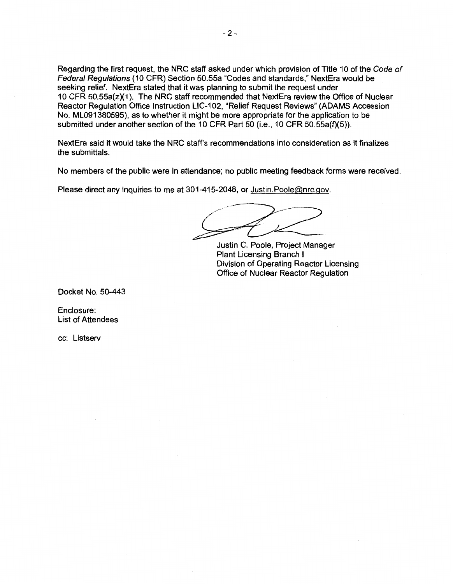Regarding the first request, the NRC staff asked under which provision of Title 10 of the Code of Federal Regulations (10 CFR) Section 50.55a "Codes and standards," NextEra would be seeking relief. NextEra stated that it was planning to submit the request under 10 CFR 50.55a(z)( 1 ). The NRC staff recommended that NextEra review the Office of Nuclear Reactor Regulation Office Instruction LIC-102, "Relief Request Reviews" (ADAMS Accession No. ML091380595), as to whether it might be more appropriate for the application to be submitted under another section of the 10 CFR Part 50 (i.e., 10 CFR 50.55a(f)(5)).

NextEra said it would take the NRC staff's recommendations into consideration as it finalizes the submittals.

No members of the public were in attendance; no public meeting feedback forms were received.

Please direct any inquiries to me at 301-415-2048, or Justin.Poole@nrc.gov.

 $\overrightarrow{f}$ 

Justin C. Poole, Project Manager Plant Licensing Branch I Division of Operating Reactor Licensing Office of Nuclear Reactor Regulation

Docket No. 50-443

Enclosure: List of Attendees

cc: Listserv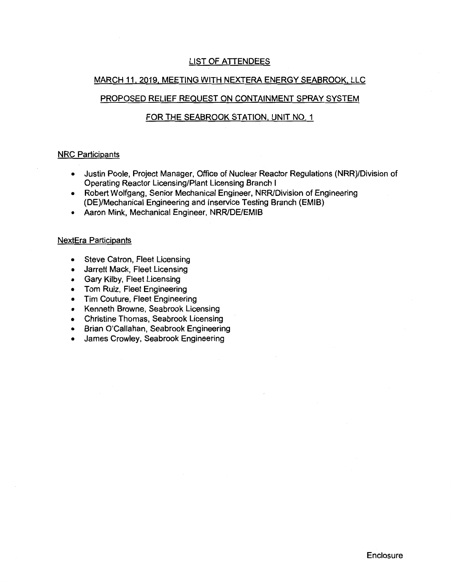# LIST OF ATTENDEES

## MARCH 11, 2019, MEETING WITH NEXTERA ENERGY SEABROOK, LLC

# PROPOSED RELIEF REQUEST ON CONTAINMENT SPRAY SYSTEM

### FOR THE SEABROOK STATION, UNIT NO. 1

### NRC Participants

- Justin Poole, Project Manager, Office of Nuclear Reactor Regulations (NRR)/Division of Operating Reactor Licensing/Plant Licensing Branch I
- Robert Wolfgang, Senior Mechanical Engineer, NRR/Division of Engineering (DE)/Mechanical Engineering and lnservice Testing Branch (EMIB)
- Aaron Mink, Mechanical Engineer, NRR/DE/EMIB

#### NextEra Participants

- Steve Catron, Fleet Licensing
- Jarrett Mack, Fleet Licensing
- Gary Kilby, Fleet Licensing
- Tom Ruiz, Fleet Engineering
- Tim Couture, Fleet Engineering
- Kenneth Browne, Seabrook Licensing
- Christine Thomas, Seabrook Licensing
- Brian O'Callahan, Seabrook Engineering
- James Crowley, Seabrook Engineering